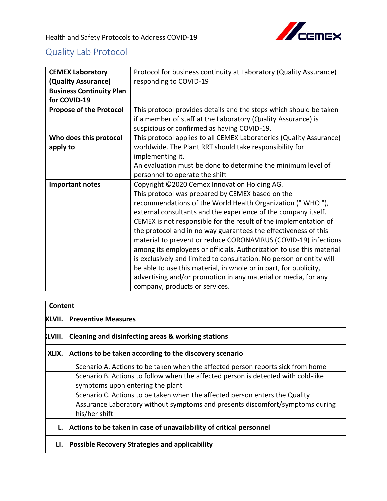

# Quality Lab Protocol

| <b>CEMEX Laboratory</b>         | Protocol for business continuity at Laboratory (Quality Assurance)   |
|---------------------------------|----------------------------------------------------------------------|
| (Quality Assurance)             | responding to COVID-19                                               |
| <b>Business Continuity Plan</b> |                                                                      |
| for COVID-19                    |                                                                      |
| <b>Propose of the Protocol</b>  | This protocol provides details and the steps which should be taken   |
|                                 | if a member of staff at the Laboratory (Quality Assurance) is        |
|                                 | suspicious or confirmed as having COVID-19.                          |
| Who does this protocol          | This protocol applies to all CEMEX Laboratories (Quality Assurance)  |
| apply to                        | worldwide. The Plant RRT should take responsibility for              |
|                                 | implementing it.                                                     |
|                                 | An evaluation must be done to determine the minimum level of         |
|                                 | personnel to operate the shift                                       |
| <b>Important notes</b>          | Copyright ©2020 Cemex Innovation Holding AG.                         |
|                                 | This protocol was prepared by CEMEX based on the                     |
|                                 | recommendations of the World Health Organization ("WHO"),            |
|                                 | external consultants and the experience of the company itself.       |
|                                 | CEMEX is not responsible for the result of the implementation of     |
|                                 | the protocol and in no way guarantees the effectiveness of this      |
|                                 | material to prevent or reduce CORONAVIRUS (COVID-19) infections      |
|                                 | among its employees or officials. Authorization to use this material |
|                                 | is exclusively and limited to consultation. No person or entity will |
|                                 | be able to use this material, in whole or in part, for publicity,    |
|                                 | advertising and/or promotion in any material or media, for any       |
|                                 | company, products or services.                                       |

#### **Content**

## **XLVII. Preventive Measures**

#### **XLVIII. Cleaning and disinfecting areas & working stations**

#### **XLIX. Actions to be taken according to the discovery scenario**

| Scenario A. Actions to be taken when the affected person reports sick from home   |
|-----------------------------------------------------------------------------------|
| Scenario B. Actions to follow when the affected person is detected with cold-like |
| symptoms upon entering the plant                                                  |
| Scenario C. Actions to be taken when the affected person enters the Quality       |
| Assurance Laboratory without symptoms and presents discomfort/symptoms during     |
| his/her shift                                                                     |
|                                                                                   |

# **L. Actions to be taken in case of unavailability of critical personnel**

## **LI. Possible Recovery Strategies and applicability**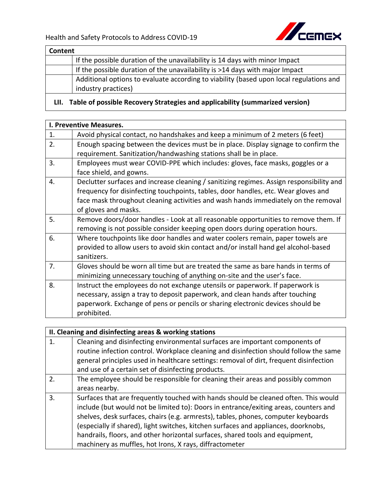

| Content |                                                                                         |
|---------|-----------------------------------------------------------------------------------------|
|         | If the possible duration of the unavailability is 14 days with minor Impact             |
|         | If the possible duration of the unavailability is >14 days with major Impact            |
|         | Additional options to evaluate according to viability (based upon local regulations and |
|         | industry practices)                                                                     |

# **LII. Table of possible Recovery Strategies and applicability (summarized version)**

|    | I. Preventive Measures.                                                                  |
|----|------------------------------------------------------------------------------------------|
| 1. | Avoid physical contact, no handshakes and keep a minimum of 2 meters (6 feet)            |
|    |                                                                                          |
| 2. | Enough spacing between the devices must be in place. Display signage to confirm the      |
|    | requirement. Sanitization/handwashing stations shall be in place.                        |
| 3. | Employees must wear COVID-PPE which includes: gloves, face masks, goggles or a           |
|    | face shield, and gowns.                                                                  |
| 4. | Declutter surfaces and increase cleaning / sanitizing regimes. Assign responsibility and |
|    | frequency for disinfecting touchpoints, tables, door handles, etc. Wear gloves and       |
|    | face mask throughout cleaning activities and wash hands immediately on the removal       |
|    | of gloves and masks.                                                                     |
| 5. | Remove doors/door handles - Look at all reasonable opportunities to remove them. If      |
|    | removing is not possible consider keeping open doors during operation hours.             |
| 6. | Where touchpoints like door handles and water coolers remain, paper towels are           |
|    | provided to allow users to avoid skin contact and/or install hand gel alcohol-based      |
|    | sanitizers.                                                                              |
| 7. | Gloves should be worn all time but are treated the same as bare hands in terms of        |
|    | minimizing unnecessary touching of anything on-site and the user's face.                 |
| 8. | Instruct the employees do not exchange utensils or paperwork. If paperwork is            |
|    | necessary, assign a tray to deposit paperwork, and clean hands after touching            |
|    | paperwork. Exchange of pens or pencils or sharing electronic devices should be           |
|    | prohibited.                                                                              |
|    |                                                                                          |

|                  | II. Cleaning and disinfecting areas & working stations                                                                                                                                                                                                                                                                                                                                                                                                                                               |  |
|------------------|------------------------------------------------------------------------------------------------------------------------------------------------------------------------------------------------------------------------------------------------------------------------------------------------------------------------------------------------------------------------------------------------------------------------------------------------------------------------------------------------------|--|
| 1.               | Cleaning and disinfecting environmental surfaces are important components of                                                                                                                                                                                                                                                                                                                                                                                                                         |  |
|                  | routine infection control. Workplace cleaning and disinfection should follow the same                                                                                                                                                                                                                                                                                                                                                                                                                |  |
|                  | general principles used in healthcare settings: removal of dirt, frequent disinfection                                                                                                                                                                                                                                                                                                                                                                                                               |  |
|                  | and use of a certain set of disinfecting products.                                                                                                                                                                                                                                                                                                                                                                                                                                                   |  |
| $\overline{2}$ . | The employee should be responsible for cleaning their areas and possibly common                                                                                                                                                                                                                                                                                                                                                                                                                      |  |
|                  | areas nearby.                                                                                                                                                                                                                                                                                                                                                                                                                                                                                        |  |
| 3.               | Surfaces that are frequently touched with hands should be cleaned often. This would<br>include (but would not be limited to): Doors in entrance/exiting areas, counters and<br>shelves, desk surfaces, chairs (e.g. armrests), tables, phones, computer keyboards<br>(especially if shared), light switches, kitchen surfaces and appliances, doorknobs,<br>handrails, floors, and other horizontal surfaces, shared tools and equipment,<br>machinery as muffles, hot Irons, X rays, diffractometer |  |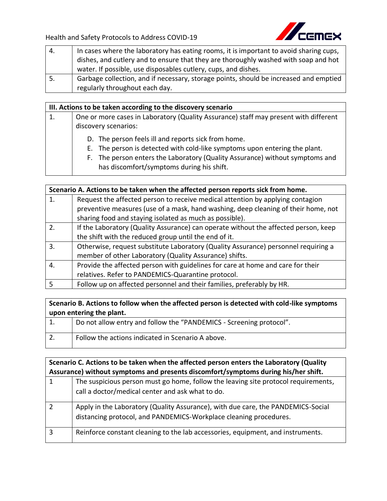

| 4. | In cases where the laboratory has eating rooms, it is important to avoid sharing cups, |
|----|----------------------------------------------------------------------------------------|
|    | dishes, and cutlery and to ensure that they are thoroughly washed with soap and hot    |
|    | water. If possible, use disposables cutlery, cups, and dishes.                         |
| 5. | Garbage collection, and if necessary, storage points, should be increased and emptied  |
|    | regularly throughout each day.                                                         |

#### **III. Actions to be taken according to the discovery scenario**

- 1. One or more cases in Laboratory (Quality Assurance) staff may present with different discovery scenarios:
	- D. The person feels ill and reports sick from home.
	- E. The person is detected with cold-like symptoms upon entering the plant.
	- F. The person enters the Laboratory (Quality Assurance) without symptoms and has discomfort/symptoms during his shift.

|                  | Scenario A. Actions to be taken when the affected person reports sick from home.    |  |
|------------------|-------------------------------------------------------------------------------------|--|
| 1.               | Request the affected person to receive medical attention by applying contagion      |  |
|                  | preventive measures (use of a mask, hand washing, deep cleaning of their home, not  |  |
|                  | sharing food and staying isolated as much as possible).                             |  |
| 2.               | If the Laboratory (Quality Assurance) can operate without the affected person, keep |  |
|                  | the shift with the reduced group until the end of it.                               |  |
| $\overline{3}$ . | Otherwise, request substitute Laboratory (Quality Assurance) personnel requiring a  |  |
|                  | member of other Laboratory (Quality Assurance) shifts.                              |  |
| $\overline{4}$   | Provide the affected person with guidelines for care at home and care for their     |  |
|                  | relatives. Refer to PANDEMICS-Quarantine protocol.                                  |  |
|                  | Follow up on affected personnel and their families, preferably by HR.               |  |

**Scenario B. Actions to follow when the affected person is detected with cold-like symptoms upon entering the plant.**

1. Do not allow entry and follow the "PANDEMICS - Screening protocol". 2. Follow the actions indicated in Scenario A above.

|                | Scenario C. Actions to be taken when the affected person enters the Laboratory (Quality                                                               |  |
|----------------|-------------------------------------------------------------------------------------------------------------------------------------------------------|--|
|                | Assurance) without symptoms and presents discomfort/symptoms during his/her shift.                                                                    |  |
| 1              | The suspicious person must go home, follow the leaving site protocol requirements,<br>call a doctor/medical center and ask what to do.                |  |
| $\overline{2}$ | Apply in the Laboratory (Quality Assurance), with due care, the PANDEMICS-Social<br>distancing protocol, and PANDEMICS-Workplace cleaning procedures. |  |
| 3              | Reinforce constant cleaning to the lab accessories, equipment, and instruments.                                                                       |  |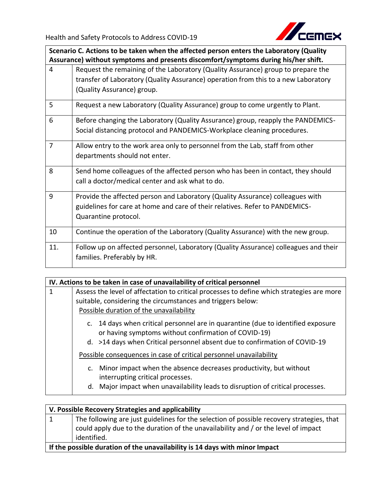

**Scenario C. Actions to be taken when the affected person enters the Laboratory (Quality Assurance) without symptoms and presents discomfort/symptoms during his/her shift.**

| $\overline{4}$ | Request the remaining of the Laboratory (Quality Assurance) group to prepare the<br>transfer of Laboratory (Quality Assurance) operation from this to a new Laboratory<br>(Quality Assurance) group. |
|----------------|------------------------------------------------------------------------------------------------------------------------------------------------------------------------------------------------------|
| 5              | Request a new Laboratory (Quality Assurance) group to come urgently to Plant.                                                                                                                        |
| 6              | Before changing the Laboratory (Quality Assurance) group, reapply the PANDEMICS-<br>Social distancing protocol and PANDEMICS-Workplace cleaning procedures.                                          |
| $\overline{7}$ | Allow entry to the work area only to personnel from the Lab, staff from other<br>departments should not enter.                                                                                       |
| 8              | Send home colleagues of the affected person who has been in contact, they should<br>call a doctor/medical center and ask what to do.                                                                 |
| 9              | Provide the affected person and Laboratory (Quality Assurance) colleagues with<br>guidelines for care at home and care of their relatives. Refer to PANDEMICS-<br>Quarantine protocol.               |
| 10             | Continue the operation of the Laboratory (Quality Assurance) with the new group.                                                                                                                     |
| 11.            | Follow up on affected personnel, Laboratory (Quality Assurance) colleagues and their<br>families. Preferably by HR.                                                                                  |

|   | IV. Actions to be taken in case of unavailability of critical personnel                                                                                                                                                |  |  |
|---|------------------------------------------------------------------------------------------------------------------------------------------------------------------------------------------------------------------------|--|--|
| 1 | Assess the level of affectation to critical processes to define which strategies are more                                                                                                                              |  |  |
|   | suitable, considering the circumstances and triggers below:                                                                                                                                                            |  |  |
|   | Possible duration of the unavailability                                                                                                                                                                                |  |  |
|   | c. 14 days when critical personnel are in quarantine (due to identified exposure<br>or having symptoms without confirmation of COVID-19)<br>d. >14 days when Critical personnel absent due to confirmation of COVID-19 |  |  |
|   | Possible consequences in case of critical personnel unavailability                                                                                                                                                     |  |  |
|   | Minor impact when the absence decreases productivity, but without<br>$\mathsf{C}$ .<br>interrupting critical processes.                                                                                                |  |  |
|   | d. Major impact when unavailability leads to disruption of critical processes.                                                                                                                                         |  |  |

| V. Possible Recovery Strategies and applicability                           |                                                                                           |
|-----------------------------------------------------------------------------|-------------------------------------------------------------------------------------------|
| $\mathbf{1}$                                                                | The following are just guidelines for the selection of possible recovery strategies, that |
|                                                                             | could apply due to the duration of the unavailability and / or the level of impact        |
|                                                                             | identified.                                                                               |
| If the possible duration of the unavailability is 14 days with minor Impact |                                                                                           |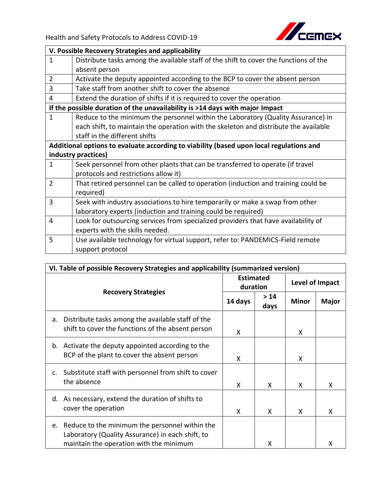

|                                                                                         | V. Possible Recovery Strategies and applicability                                     |  |  |
|-----------------------------------------------------------------------------------------|---------------------------------------------------------------------------------------|--|--|
| $\mathbf{1}$                                                                            | Distribute tasks among the available staff of the shift to cover the functions of the |  |  |
|                                                                                         | absent person                                                                         |  |  |
| $\overline{2}$                                                                          | Activate the deputy appointed according to the BCP to cover the absent person         |  |  |
| 3                                                                                       | Take staff from another shift to cover the absence                                    |  |  |
| $\overline{4}$                                                                          | Extend the duration of shifts if it is required to cover the operation                |  |  |
|                                                                                         | If the possible duration of the unavailability is >14 days with major Impact          |  |  |
| $\mathbf{1}$                                                                            | Reduce to the minimum the personnel within the Laboratory (Quality Assurance) in      |  |  |
|                                                                                         | each shift, to maintain the operation with the skeleton and distribute the available  |  |  |
|                                                                                         | staff in the different shifts                                                         |  |  |
| Additional options to evaluate according to viability (based upon local regulations and |                                                                                       |  |  |
|                                                                                         | industry practices)                                                                   |  |  |
| $\mathbf{1}$                                                                            | Seek personnel from other plants that can be transferred to operate (if travel        |  |  |
|                                                                                         | protocols and restrictions allow it)                                                  |  |  |
| $\overline{2}$                                                                          | That retired personnel can be called to operation (induction and training could be    |  |  |
|                                                                                         | required)                                                                             |  |  |
| 3                                                                                       | Seek with industry associations to hire temporarily or make a swap from other         |  |  |
|                                                                                         | laboratory experts (induction and training could be required)                         |  |  |
| 4                                                                                       | Look for outsourcing services from specialized providers that have availability of    |  |  |
|                                                                                         | experts with the skills needed.                                                       |  |  |
| 5                                                                                       | Use available technology for virtual support, refer to: PANDEMICS-Field remote        |  |  |
|                                                                                         | support protocol                                                                      |  |  |

| VI. Table of possible Recovery Strategies and applicability (summarized version) |                                                                                                                                               |         |                              |              |                 |  |  |  |
|----------------------------------------------------------------------------------|-----------------------------------------------------------------------------------------------------------------------------------------------|---------|------------------------------|--------------|-----------------|--|--|--|
|                                                                                  |                                                                                                                                               |         | <b>Estimated</b><br>duration |              | Level of Impact |  |  |  |
|                                                                                  | <b>Recovery Strategies</b>                                                                                                                    | 14 days | > 14<br>days                 | <b>Minor</b> | <b>Major</b>    |  |  |  |
| a.                                                                               | Distribute tasks among the available staff of the<br>shift to cover the functions of the absent person                                        | x       |                              | X            |                 |  |  |  |
|                                                                                  | b. Activate the deputy appointed according to the<br>BCP of the plant to cover the absent person                                              | x       |                              | X            |                 |  |  |  |
| c.                                                                               | Substitute staff with personnel from shift to cover<br>the absence                                                                            | x       | X                            | X.           | X               |  |  |  |
| d.                                                                               | As necessary, extend the duration of shifts to<br>cover the operation                                                                         | x       | X                            | X            | X               |  |  |  |
| e.                                                                               | Reduce to the minimum the personnel within the<br>Laboratory (Quality Assurance) in each shift, to<br>maintain the operation with the minimum |         | x                            |              | x               |  |  |  |